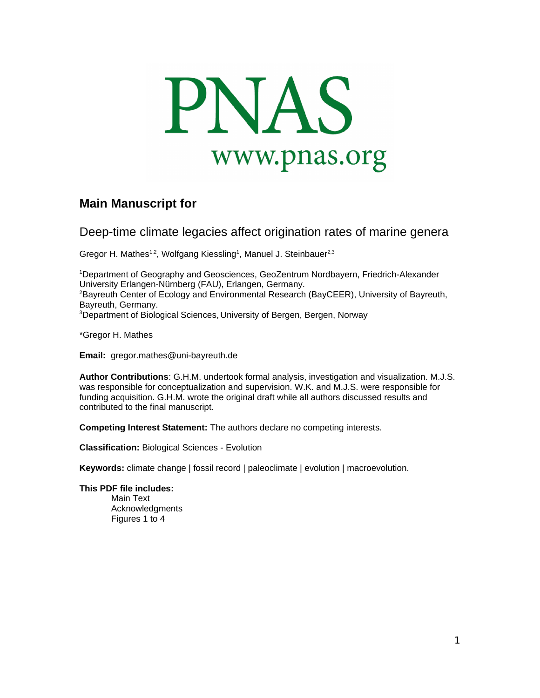

# **Main Manuscript for**

Deep-time climate legacies affect origination rates of marine genera

Gregor H. Mathes $^{1,2}$ , Wolfgang Kiessling<sup>1</sup>, Manuel J. Steinbauer $^{2,3}$ 

<sup>1</sup>Department of Geography and Geosciences, GeoZentrum Nordbayern, Friedrich-Alexander University Erlangen-Nürnberg (FAU), Erlangen, Germany. <sup>2</sup>Bayreuth Center of Ecology and Environmental Research (BayCEER), University of Bayreuth, Bayreuth, Germany. <sup>3</sup>Department of Biological Sciences, University of Bergen, Bergen, Norway

\*Gregor H. Mathes

**Email:** gregor.mathes@uni-bayreuth.de

**Author Contributions**: G.H.M. undertook formal analysis, investigation and visualization. M.J.S. was responsible for conceptualization and supervision. W.K. and M.J.S. were responsible for funding acquisition. G.H.M. wrote the original draft while all authors discussed results and contributed to the final manuscript.

**Competing Interest Statement:** The authors declare no competing interests.

**Classification:** Biological Sciences - Evolution

**Keywords:** climate change | fossil record | paleoclimate | evolution | macroevolution.

**This PDF file includes:**

Main Text Acknowledgments Figures 1 to 4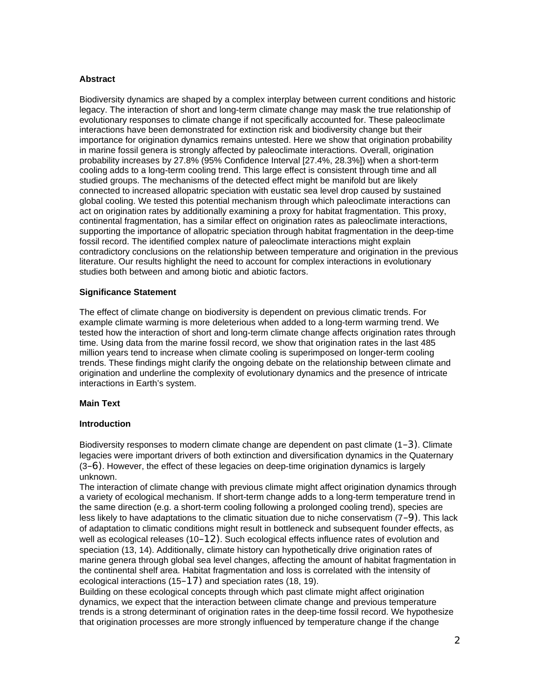### **Abstract**

Biodiversity dynamics are shaped by a complex interplay between current conditions and historic legacy. The interaction of short and long-term climate change may mask the true relationship of evolutionary responses to climate change if not specifically accounted for. These paleoclimate interactions have been demonstrated for extinction risk and biodiversity change but their importance for origination dynamics remains untested. Here we show that origination probability in marine fossil genera is strongly affected by paleoclimate interactions. Overall, origination probability increases by 27.8% (95% Confidence Interval [27.4%, 28.3%]) when a short-term cooling adds to a long-term cooling trend. This large effect is consistent through time and all studied groups. The mechanisms of the detected effect might be manifold but are likely connected to increased allopatric speciation with eustatic sea level drop caused by sustained global cooling. We tested this potential mechanism through which paleoclimate interactions can act on origination rates by additionally examining a proxy for habitat fragmentation. This proxy, continental fragmentation, has a similar effect on origination rates as paleoclimate interactions, supporting the importance of allopatric speciation through habitat fragmentation in the deep-time fossil record. The identified complex nature of paleoclimate interactions might explain contradictory conclusions on the relationship between temperature and origination in the previous literature. Our results highlight the need to account for complex interactions in evolutionary studies both between and among biotic and abiotic factors.

### **Significance Statement**

The effect of climate change on biodiversity is dependent on previous climatic trends. For example climate warming is more deleterious when added to a long-term warming trend. We tested how the interaction of short and long-term climate change affects origination rates through time. Using data from the marine fossil record, we show that origination rates in the last 485 million years tend to increase when climate cooling is superimposed on longer-term cooling trends. These findings might clarify the ongoing debate on the relationship between climate and origination and underline the complexity of evolutionary dynamics and the presence of intricate interactions in Earth's system.

### **Main Text**

### **Introduction**

Biodiversity responses to modern climate change are dependent on past climate (1–3). Climate legacies were important drivers of both extinction and diversification dynamics in the Quaternary (3–6). However, the effect of these legacies on deep-time origination dynamics is largely unknown.

The interaction of climate change with previous climate might affect origination dynamics through a variety of ecological mechanism. If short-term change adds to a long-term temperature trend in the same direction (e.g. a short-term cooling following a prolonged cooling trend), species are less likely to have adaptations to the climatic situation due to niche conservatism (7–9). This lack of adaptation to climatic conditions might result in bottleneck and subsequent founder effects, as well as ecological releases (10– $12$ ). Such ecological effects influence rates of evolution and speciation (13, 14). Additionally, climate history can hypothetically drive origination rates of marine genera through global sea level changes, affecting the amount of habitat fragmentation in the continental shelf area. Habitat fragmentation and loss is correlated with the intensity of ecological interactions (15–17) and speciation rates (18, 19).

Building on these ecological concepts through which past climate might affect origination dynamics, we expect that the interaction between climate change and previous temperature trends is a strong determinant of origination rates in the deep-time fossil record. We hypothesize that origination processes are more strongly influenced by temperature change if the change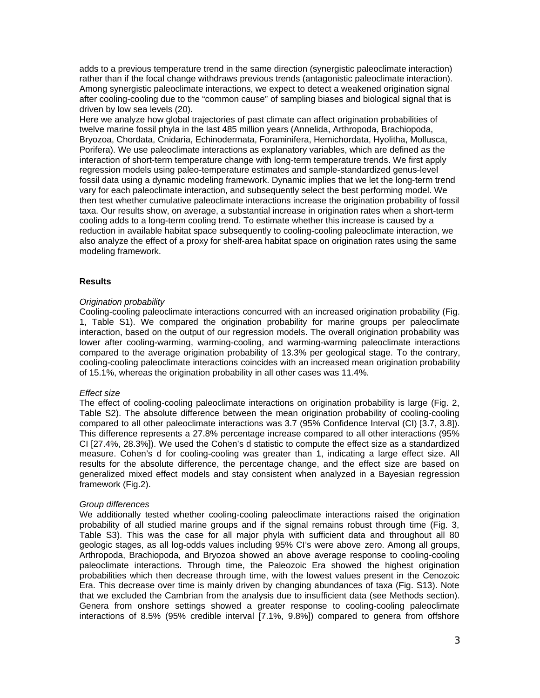adds to a previous temperature trend in the same direction (synergistic paleoclimate interaction) rather than if the focal change withdraws previous trends (antagonistic paleoclimate interaction). Among synergistic paleoclimate interactions, we expect to detect a weakened origination signal after cooling-cooling due to the "common cause" of sampling biases and biological signal that is driven by low sea levels (20).

Here we analyze how global trajectories of past climate can affect origination probabilities of twelve marine fossil phyla in the last 485 million years (Annelida, Arthropoda, Brachiopoda, Bryozoa, Chordata, Cnidaria, Echinodermata, Foraminifera, Hemichordata, Hyolitha, Mollusca, Porifera). We use paleoclimate interactions as explanatory variables, which are defined as the interaction of short-term temperature change with long-term temperature trends. We first apply regression models using paleo-temperature estimates and sample-standardized genus-level fossil data using a dynamic modeling framework. Dynamic implies that we let the long-term trend vary for each paleoclimate interaction, and subsequently select the best performing model. We then test whether cumulative paleoclimate interactions increase the origination probability of fossil taxa. Our results show, on average, a substantial increase in origination rates when a short-term cooling adds to a long-term cooling trend. To estimate whether this increase is caused by a reduction in available habitat space subsequently to cooling-cooling paleoclimate interaction, we also analyze the effect of a proxy for shelf-area habitat space on origination rates using the same modeling framework.

### **Results**

### *Origination probability*

Cooling-cooling paleoclimate interactions concurred with an increased origination probability (Fig. 1, Table S1). We compared the origination probability for marine groups per paleoclimate interaction, based on the output of our regression models. The overall origination probability was lower after cooling-warming, warming-cooling, and warming-warming paleoclimate interactions compared to the average origination probability of 13.3% per geological stage. To the contrary, cooling-cooling paleoclimate interactions coincides with an increased mean origination probability of 15.1%, whereas the origination probability in all other cases was 11.4%.

### *Effect size*

The effect of cooling-cooling paleoclimate interactions on origination probability is large (Fig. 2, Table S2). The absolute difference between the mean origination probability of cooling-cooling compared to all other paleoclimate interactions was 3.7 (95% Confidence Interval (CI) [3.7, 3.8]). This difference represents a 27.8% percentage increase compared to all other interactions (95% CI [27.4%, 28.3%]). We used the Cohen's d statistic to compute the effect size as a standardized measure. Cohen's d for cooling-cooling was greater than 1, indicating a large effect size. All results for the absolute difference, the percentage change, and the effect size are based on generalized mixed effect models and stay consistent when analyzed in a Bayesian regression framework (Fig.2).

#### *Group differences*

We additionally tested whether cooling-cooling paleoclimate interactions raised the origination probability of all studied marine groups and if the signal remains robust through time (Fig. 3, Table S3). This was the case for all major phyla with sufficient data and throughout all 80 geologic stages, as all log-odds values including 95% CI's were above zero. Among all groups, Arthropoda, Brachiopoda, and Bryozoa showed an above average response to cooling-cooling paleoclimate interactions. Through time, the Paleozoic Era showed the highest origination probabilities which then decrease through time, with the lowest values present in the Cenozoic Era. This decrease over time is mainly driven by changing abundances of taxa (Fig. S13). Note that we excluded the Cambrian from the analysis due to insufficient data (see Methods section). Genera from onshore settings showed a greater response to cooling-cooling paleoclimate interactions of 8.5% (95% credible interval [7.1%, 9.8%]) compared to genera from offshore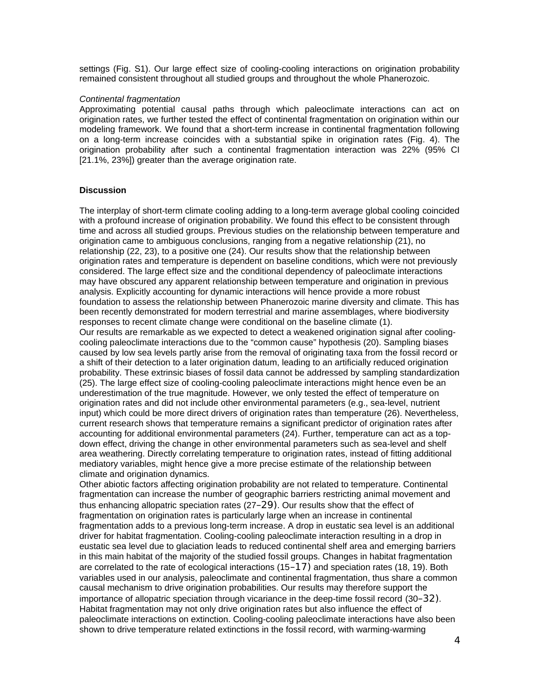settings (Fig. S1). Our large effect size of cooling-cooling interactions on origination probability remained consistent throughout all studied groups and throughout the whole Phanerozoic.

#### *Continental fragmentation*

Approximating potential causal paths through which paleoclimate interactions can act on origination rates, we further tested the effect of continental fragmentation on origination within our modeling framework. We found that a short-term increase in continental fragmentation following on a long-term increase coincides with a substantial spike in origination rates (Fig. 4). The origination probability after such a continental fragmentation interaction was 22% (95% CI [21.1%, 23%]) greater than the average origination rate.

### **Discussion**

The interplay of short-term climate cooling adding to a long-term average global cooling coincided with a profound increase of origination probability. We found this effect to be consistent through time and across all studied groups. Previous studies on the relationship between temperature and origination came to ambiguous conclusions, ranging from a negative relationship (21), no relationship (22, 23), to a positive one (24). Our results show that the relationship between origination rates and temperature is dependent on baseline conditions, which were not previously considered. The large effect size and the conditional dependency of paleoclimate interactions may have obscured any apparent relationship between temperature and origination in previous analysis. Explicitly accounting for dynamic interactions will hence provide a more robust foundation to assess the relationship between Phanerozoic marine diversity and climate. This has been recently demonstrated for modern terrestrial and marine assemblages, where biodiversity responses to recent climate change were conditional on the baseline climate (1). Our results are remarkable as we expected to detect a weakened origination signal after coolingcooling paleoclimate interactions due to the "common cause" hypothesis (20). Sampling biases caused by low sea levels partly arise from the removal of originating taxa from the fossil record or a shift of their detection to a later origination datum, leading to an artificially reduced origination probability. These extrinsic biases of fossil data cannot be addressed by sampling standardization (25). The large effect size of cooling-cooling paleoclimate interactions might hence even be an underestimation of the true magnitude. However, we only tested the effect of temperature on origination rates and did not include other environmental parameters (e.g., sea-level, nutrient input) which could be more direct drivers of origination rates than temperature (26). Nevertheless, current research shows that temperature remains a significant predictor of origination rates after accounting for additional environmental parameters (24). Further, temperature can act as a topdown effect, driving the change in other environmental parameters such as sea-level and shelf area weathering. Directly correlating temperature to origination rates, instead of fitting additional mediatory variables, might hence give a more precise estimate of the relationship between climate and origination dynamics.

Other abiotic factors affecting origination probability are not related to temperature. Continental fragmentation can increase the number of geographic barriers restricting animal movement and thus enhancing allopatric speciation rates (27–29). Our results show that the effect of fragmentation on origination rates is particularly large when an increase in continental fragmentation adds to a previous long-term increase. A drop in eustatic sea level is an additional driver for habitat fragmentation. Cooling-cooling paleoclimate interaction resulting in a drop in eustatic sea level due to glaciation leads to reduced continental shelf area and emerging barriers in this main habitat of the majority of the studied fossil groups. Changes in habitat fragmentation are correlated to the rate of ecological interactions  $(15-17)$  and speciation rates  $(18, 19)$ . Both variables used in our analysis, paleoclimate and continental fragmentation, thus share a common causal mechanism to drive origination probabilities. Our results may therefore support the importance of allopatric speciation through vicariance in the deep-time fossil record (30–32). Habitat fragmentation may not only drive origination rates but also influence the effect of paleoclimate interactions on extinction. Cooling-cooling paleoclimate interactions have also been shown to drive temperature related extinctions in the fossil record, with warming-warming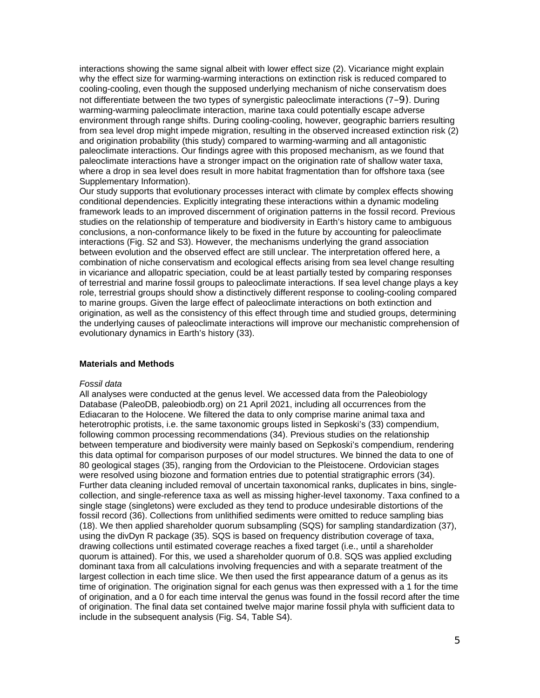interactions showing the same signal albeit with lower effect size (2). Vicariance might explain why the effect size for warming-warming interactions on extinction risk is reduced compared to cooling-cooling, even though the supposed underlying mechanism of niche conservatism does not differentiate between the two types of synergistic paleoclimate interactions (7–9). During warming-warming paleoclimate interaction, marine taxa could potentially escape adverse environment through range shifts. During cooling-cooling, however, geographic barriers resulting from sea level drop might impede migration, resulting in the observed increased extinction risk (2) and origination probability (this study) compared to warming-warming and all antagonistic paleoclimate interactions. Our findings agree with this proposed mechanism, as we found that paleoclimate interactions have a stronger impact on the origination rate of shallow water taxa, where a drop in sea level does result in more habitat fragmentation than for offshore taxa (see Supplementary Information).

Our study supports that evolutionary processes interact with climate by complex effects showing conditional dependencies. Explicitly integrating these interactions within a dynamic modeling framework leads to an improved discernment of origination patterns in the fossil record. Previous studies on the relationship of temperature and biodiversity in Earth's history came to ambiguous conclusions, a non-conformance likely to be fixed in the future by accounting for paleoclimate interactions (Fig. S2 and S3). However, the mechanisms underlying the grand association between evolution and the observed effect are still unclear. The interpretation offered here, a combination of niche conservatism and ecological effects arising from sea level change resulting in vicariance and allopatric speciation, could be at least partially tested by comparing responses of terrestrial and marine fossil groups to paleoclimate interactions. If sea level change plays a key role, terrestrial groups should show a distinctively different response to cooling-cooling compared to marine groups. Given the large effect of paleoclimate interactions on both extinction and origination, as well as the consistency of this effect through time and studied groups, determining the underlying causes of paleoclimate interactions will improve our mechanistic comprehension of evolutionary dynamics in Earth's history (33).

### **Materials and Methods**

#### *Fossil data*

All analyses were conducted at the genus level. We accessed data from the Paleobiology Database (PaleoDB, paleobiodb.org) on 21 April 2021, including all occurrences from the Ediacaran to the Holocene. We filtered the data to only comprise marine animal taxa and heterotrophic protists, i.e. the same taxonomic groups listed in Sepkoski's (33) compendium, following common processing recommendations (34). Previous studies on the relationship between temperature and biodiversity were mainly based on Sepkoski's compendium, rendering this data optimal for comparison purposes of our model structures. We binned the data to one of 80 geological stages (35), ranging from the Ordovician to the Pleistocene. Ordovician stages were resolved using biozone and formation entries due to potential stratigraphic errors (34). Further data cleaning included removal of uncertain taxonomical ranks, duplicates in bins, singlecollection, and single-reference taxa as well as missing higher-level taxonomy. Taxa confined to a single stage (singletons) were excluded as they tend to produce undesirable distortions of the fossil record (36). Collections from unlithified sediments were omitted to reduce sampling bias (18). We then applied shareholder quorum subsampling (SQS) for sampling standardization (37), using the divDyn R package (35). SQS is based on frequency distribution coverage of taxa, drawing collections until estimated coverage reaches a fixed target (i.e., until a shareholder quorum is attained). For this, we used a shareholder quorum of 0.8. SQS was applied excluding dominant taxa from all calculations involving frequencies and with a separate treatment of the largest collection in each time slice. We then used the first appearance datum of a genus as its time of origination. The origination signal for each genus was then expressed with a 1 for the time of origination, and a 0 for each time interval the genus was found in the fossil record after the time of origination. The final data set contained twelve major marine fossil phyla with sufficient data to include in the subsequent analysis (Fig. S4, Table S4).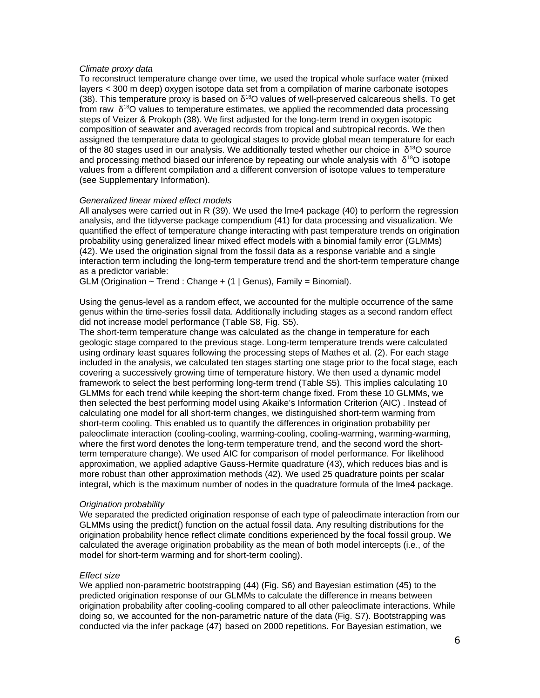### *Climate proxy data*

To reconstruct temperature change over time, we used the tropical whole surface water (mixed layers < 300 m deep) oxygen isotope data set from a compilation of marine carbonate isotopes (38). This temperature proxy is based on  $\delta^{18}$ O values of well-preserved calcareous shells. To get from raw  $\delta^{18}$ O values to temperature estimates, we applied the recommended data processing steps of Veizer & Prokoph (38). We first adjusted for the long-term trend in oxygen isotopic composition of seawater and averaged records from tropical and subtropical records. We then assigned the temperature data to geological stages to provide global mean temperature for each of the 80 stages used in our analysis. We additionally tested whether our choice in  $\delta^{18}$ O source and processing method biased our inference by repeating our whole analysis with  $\delta^{18}O$  isotope values from a different compilation and a different conversion of isotope values to temperature (see Supplementary Information).

### *Generalized linear mixed effect models*

All analyses were carried out in R (39). We used the lme4 package (40) to perform the regression analysis, and the tidyverse package compendium (41) for data processing and visualization. We quantified the effect of temperature change interacting with past temperature trends on origination probability using generalized linear mixed effect models with a binomial family error (GLMMs) (42). We used the origination signal from the fossil data as a response variable and a single interaction term including the long-term temperature trend and the short-term temperature change as a predictor variable:

GLM (Origination  $\sim$  Trend : Change + (1 | Genus), Family = Binomial).

Using the genus-level as a random effect, we accounted for the multiple occurrence of the same genus within the time-series fossil data. Additionally including stages as a second random effect did not increase model performance (Table S8, Fig. S5).

The short-term temperature change was calculated as the change in temperature for each geologic stage compared to the previous stage. Long-term temperature trends were calculated using ordinary least squares following the processing steps of Mathes et al. (2). For each stage included in the analysis, we calculated ten stages starting one stage prior to the focal stage, each covering a successively growing time of temperature history. We then used a dynamic model framework to select the best performing long-term trend (Table S5). This implies calculating 10 GLMMs for each trend while keeping the short-term change fixed. From these 10 GLMMs, we then selected the best performing model using Akaike's Information Criterion (AIC) . Instead of calculating one model for all short-term changes, we distinguished short-term warming from short-term cooling. This enabled us to quantify the differences in origination probability per paleoclimate interaction (cooling-cooling, warming-cooling, cooling-warming, warming-warming, where the first word denotes the long-term temperature trend, and the second word the shortterm temperature change). We used AIC for comparison of model performance. For likelihood approximation, we applied adaptive Gauss-Hermite quadrature (43), which reduces bias and is more robust than other approximation methods (42). We used 25 quadrature points per scalar integral, which is the maximum number of nodes in the quadrature formula of the lme4 package.

### *Origination probability*

We separated the predicted origination response of each type of paleoclimate interaction from our GLMMs using the predict() function on the actual fossil data. Any resulting distributions for the origination probability hence reflect climate conditions experienced by the focal fossil group. We calculated the average origination probability as the mean of both model intercepts (i.e., of the model for short-term warming and for short-term cooling).

#### *Effect size*

We applied non-parametric bootstrapping (44) (Fig. S6) and Bayesian estimation (45) to the predicted origination response of our GLMMs to calculate the difference in means between origination probability after cooling-cooling compared to all other paleoclimate interactions. While doing so, we accounted for the non-parametric nature of the data (Fig. S7). Bootstrapping was conducted via the infer package (47) based on 2000 repetitions. For Bayesian estimation, we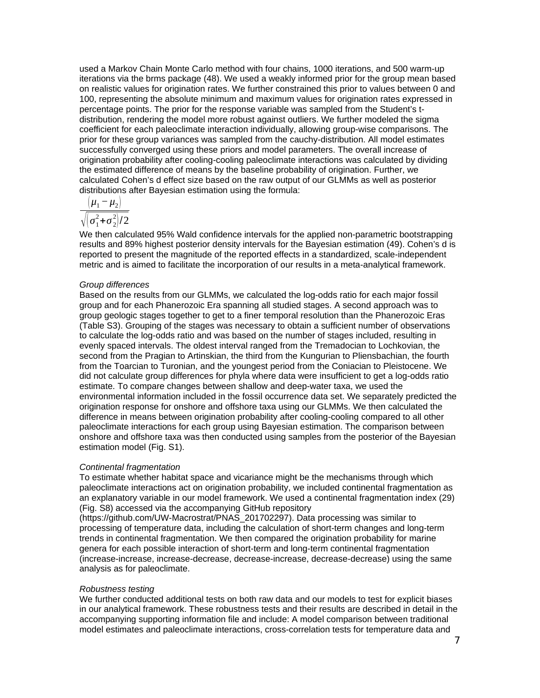used a Markov Chain Monte Carlo method with four chains, 1000 iterations, and 500 warm-up iterations via the brms package (48). We used a weakly informed prior for the group mean based on realistic values for origination rates. We further constrained this prior to values between 0 and 100, representing the absolute minimum and maximum values for origination rates expressed in percentage points. The prior for the response variable was sampled from the Student's tdistribution, rendering the model more robust against outliers. We further modeled the sigma coefficient for each paleoclimate interaction individually, allowing group-wise comparisons. The prior for these group variances was sampled from the cauchy-distribution. All model estimates successfully converged using these priors and model parameters. The overall increase of origination probability after cooling-cooling paleoclimate interactions was calculated by dividing the estimated difference of means by the baseline probability of origination. Further, we calculated Cohen's d effect size based on the raw output of our GLMMs as well as posterior distributions after Bayesian estimation using the formula:

$$
(\mu_1 - \mu_2)
$$

$$
\sqrt{\left(\sigma_1^2 + \sigma_2^2\right)/2}
$$

We then calculated 95% Wald confidence intervals for the applied non-parametric bootstrapping results and 89% highest posterior density intervals for the Bayesian estimation (49). Cohen's d is reported to present the magnitude of the reported effects in a standardized, scale-independent metric and is aimed to facilitate the incorporation of our results in a meta-analytical framework.

### *Group differences*

Based on the results from our GLMMs, we calculated the log-odds ratio for each major fossil group and for each Phanerozoic Era spanning all studied stages. A second approach was to group geologic stages together to get to a finer temporal resolution than the Phanerozoic Eras (Table S3). Grouping of the stages was necessary to obtain a sufficient number of observations to calculate the log-odds ratio and was based on the number of stages included, resulting in evenly spaced intervals. The oldest interval ranged from the Tremadocian to Lochkovian, the second from the Pragian to Artinskian, the third from the Kungurian to Pliensbachian, the fourth from the Toarcian to Turonian, and the youngest period from the Coniacian to Pleistocene. We did not calculate group differences for phyla where data were insufficient to get a log-odds ratio estimate. To compare changes between shallow and deep-water taxa, we used the environmental information included in the fossil occurrence data set. We separately predicted the origination response for onshore and offshore taxa using our GLMMs. We then calculated the difference in means between origination probability after cooling-cooling compared to all other paleoclimate interactions for each group using Bayesian estimation. The comparison between onshore and offshore taxa was then conducted using samples from the posterior of the Bayesian estimation model (Fig. S1).

### *Continental fragmentation*

To estimate whether habitat space and vicariance might be the mechanisms through which paleoclimate interactions act on origination probability, we included continental fragmentation as an explanatory variable in our model framework. We used a continental fragmentation index (29) (Fig. S8) accessed via the accompanying GitHub repository

(https://github.com/UW-Macrostrat/PNAS\_201702297). Data processing was similar to processing of temperature data, including the calculation of short-term changes and long-term trends in continental fragmentation. We then compared the origination probability for marine genera for each possible interaction of short-term and long-term continental fragmentation (increase-increase, increase-decrease, decrease-increase, decrease-decrease) using the same analysis as for paleoclimate.

#### *Robustness testing*

We further conducted additional tests on both raw data and our models to test for explicit biases in our analytical framework. These robustness tests and their results are described in detail in the accompanying supporting information file and include: A model comparison between traditional model estimates and paleoclimate interactions, cross-correlation tests for temperature data and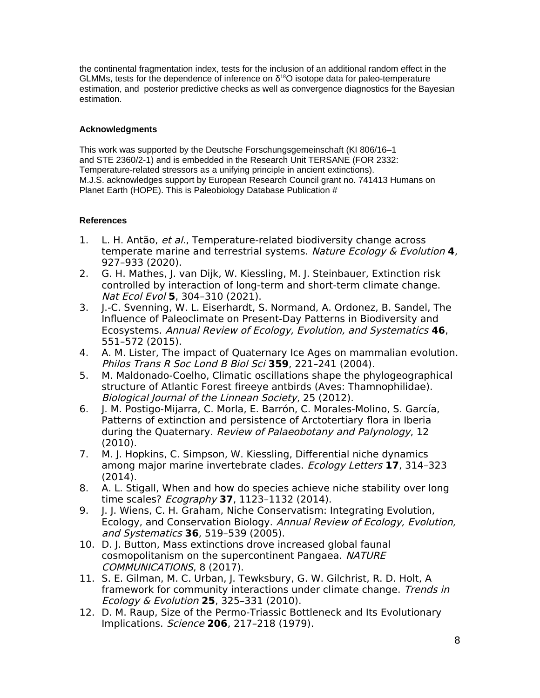the continental fragmentation index, tests for the inclusion of an additional random effect in the GLMMs, tests for the dependence of inference on  $\delta^{18}$ O isotope data for paleo-temperature estimation, and posterior predictive checks as well as convergence diagnostics for the Bayesian estimation.

## **Acknowledgments**

This work was supported by the Deutsche Forschungsgemeinschaft (KI 806/16–1 and STE 2360/2-1) and is embedded in the Research Unit TERSANE (FOR 2332: Temperature-related stressors as a unifying principle in ancient extinctions). M.J.S. acknowledges support by European Research Council grant no. 741413 Humans on Planet Earth (HOPE). This is Paleobiology Database Publication #

# **References**

- 1. L. H. Antão, et al., Temperature-related biodiversity change across temperate marine and terrestrial systems. Nature Ecology & Evolution **4**, 927–933 (2020).
- 2. G. H. Mathes, J. van Dijk, W. Kiessling, M. J. Steinbauer, Extinction risk controlled by interaction of long-term and short-term climate change. Nat Ecol Evol **5**, 304–310 (2021).
- 3. J.-C. Svenning, W. L. Eiserhardt, S. Normand, A. Ordonez, B. Sandel, The Influence of Paleoclimate on Present-Day Patterns in Biodiversity and Ecosystems. Annual Review of Ecology, Evolution, and Systematics **46**, 551–572 (2015).
- 4. A. M. Lister, The impact of Quaternary Ice Ages on mammalian evolution. Philos Trans R Soc Lond B Biol Sci **359**, 221–241 (2004).
- 5. M. Maldonado-Coelho, Climatic oscillations shape the phylogeographical structure of Atlantic Forest fireeye antbirds (Aves: Thamnophilidae). Biological Journal of the Linnean Society, 25 (2012).
- 6. J. M. Postigo-Mijarra, C. Morla, E. Barrón, C. Morales-Molino, S. García, Patterns of extinction and persistence of Arctotertiary flora in Iberia during the Quaternary. Review of Palaeobotany and Palynology, 12 (2010).
- 7. M. J. Hopkins, C. Simpson, W. Kiessling, Differential niche dynamics among major marine invertebrate clades. Ecology Letters **17**, 314–323 (2014).
- 8. A. L. Stigall, When and how do species achieve niche stability over long time scales? Ecography **37**, 1123–1132 (2014).
- 9. J. J. Wiens, C. H. Graham, Niche Conservatism: Integrating Evolution, Ecology, and Conservation Biology. Annual Review of Ecology, Evolution, and Systematics **36**, 519–539 (2005).
- 10. D. J. Button, Mass extinctions drove increased global faunal cosmopolitanism on the supercontinent Pangaea. NATURE COMMUNICATIONS, 8 (2017).
- 11. S. E. Gilman, M. C. Urban, J. Tewksbury, G. W. Gilchrist, R. D. Holt, A framework for community interactions under climate change. Trends in Ecology & Evolution **25**, 325–331 (2010).
- 12. D. M. Raup, Size of the Permo-Triassic Bottleneck and Its Evolutionary Implications. Science **206**, 217–218 (1979).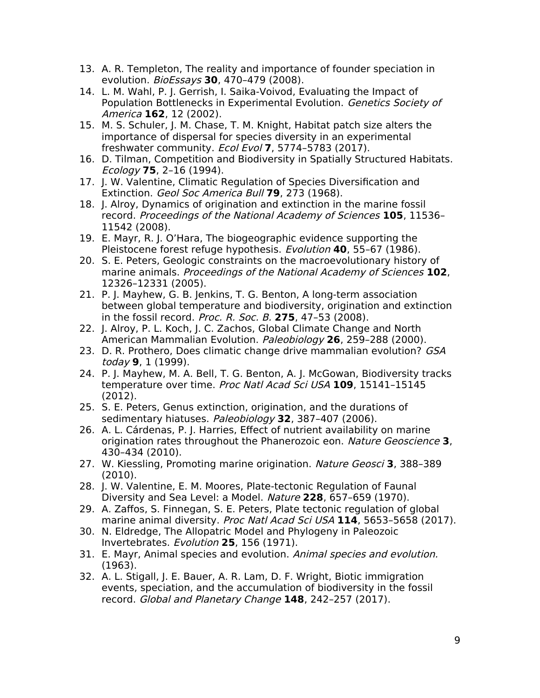- 13. A. R. Templeton, The reality and importance of founder speciation in evolution. BioEssays **30**, 470–479 (2008).
- 14. L. M. Wahl, P. J. Gerrish, I. Saika-Voivod, Evaluating the Impact of Population Bottlenecks in Experimental Evolution. Genetics Society of America **162**, 12 (2002).
- 15. M. S. Schuler, J. M. Chase, T. M. Knight, Habitat patch size alters the importance of dispersal for species diversity in an experimental freshwater community. Ecol Evol **7**, 5774–5783 (2017).
- 16. D. Tilman, Competition and Biodiversity in Spatially Structured Habitats. Ecology **75**, 2–16 (1994).
- 17. J. W. Valentine, Climatic Regulation of Species Diversification and Extinction. Geol Soc America Bull **79**, 273 (1968).
- 18. J. Alroy, Dynamics of origination and extinction in the marine fossil record. Proceedings of the National Academy of Sciences **105**, 11536– 11542 (2008).
- 19. E. Mayr, R. J. O'Hara, The biogeographic evidence supporting the Pleistocene forest refuge hypothesis. Evolution **40**, 55–67 (1986).
- 20. S. E. Peters, Geologic constraints on the macroevolutionary history of marine animals. Proceedings of the National Academy of Sciences **102**, 12326–12331 (2005).
- 21. P. J. Mayhew, G. B. Jenkins, T. G. Benton, A long-term association between global temperature and biodiversity, origination and extinction in the fossil record. Proc. R. Soc. B. **275**, 47–53 (2008).
- 22. J. Alroy, P. L. Koch, J. C. Zachos, Global Climate Change and North American Mammalian Evolution. Paleobiology **26**, 259–288 (2000).
- 23. D. R. Prothero, Does climatic change drive mammalian evolution? GSA today **9**, 1 (1999).
- 24. P. J. Mayhew, M. A. Bell, T. G. Benton, A. J. McGowan, Biodiversity tracks temperature over time. Proc Natl Acad Sci USA **109**, 15141–15145 (2012).
- 25. S. E. Peters, Genus extinction, origination, and the durations of sedimentary hiatuses. Paleobiology **32**, 387–407 (2006).
- 26. A. L. Cárdenas, P. J. Harries, Effect of nutrient availability on marine origination rates throughout the Phanerozoic eon. Nature Geoscience **3**, 430–434 (2010).
- 27. W. Kiessling, Promoting marine origination. Nature Geosci **3**, 388–389 (2010).
- 28. J. W. Valentine, E. M. Moores, Plate-tectonic Regulation of Faunal Diversity and Sea Level: a Model. Nature **228**, 657–659 (1970).
- 29. A. Zaffos, S. Finnegan, S. E. Peters, Plate tectonic regulation of global marine animal diversity. Proc Natl Acad Sci USA **114**, 5653–5658 (2017).
- 30. N. Eldredge, The Allopatric Model and Phylogeny in Paleozoic Invertebrates. Evolution **25**, 156 (1971).
- 31. E. Mayr, Animal species and evolution. Animal species and evolution. (1963).
- 32. A. L. Stigall, J. E. Bauer, A. R. Lam, D. F. Wright, Biotic immigration events, speciation, and the accumulation of biodiversity in the fossil record. Global and Planetary Change **148**, 242–257 (2017).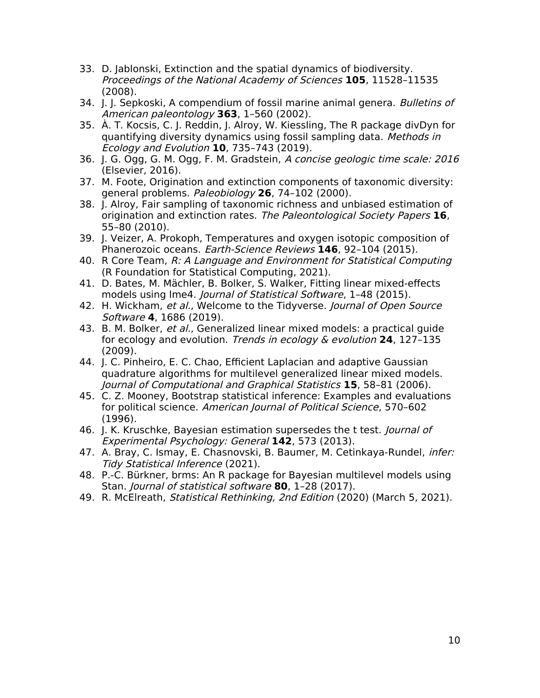- 33. D. Jablonski, Extinction and the spatial dynamics of biodiversity. Proceedings of the National Academy of Sciences **105**, 11528–11535 (2008).
- 34. J. J. Sepkoski, A compendium of fossil marine animal genera. Bulletins of American paleontology **363**, 1–560 (2002).
- 35. À. T. Kocsis, C. J. Reddin, J. Alroy, W. Kiessling, The R package divDyn for quantifying diversity dynamics using fossil sampling data. Methods in Ecology and Evolution **10**, 735–743 (2019).
- 36. J. G. Ogg, G. M. Ogg, F. M. Gradstein, A concise geologic time scale: 2016 (Elsevier, 2016).
- 37. M. Foote, Origination and extinction components of taxonomic diversity: general problems. Paleobiology **26**, 74–102 (2000).
- 38. J. Alroy, Fair sampling of taxonomic richness and unbiased estimation of origination and extinction rates. The Paleontological Society Papers **16**, 55–80 (2010).
- 39. J. Veizer, A. Prokoph, Temperatures and oxygen isotopic composition of Phanerozoic oceans. Earth-Science Reviews **146**, 92–104 (2015).
- 40. R Core Team, R: A Language and Environment for Statistical Computing (R Foundation for Statistical Computing, 2021).
- 41. D. Bates, M. Mächler, B. Bolker, S. Walker, Fitting linear mixed-effects models using lme4. *Journal of Statistical Software*, 1-48 (2015).
- 42. H. Wickham, et al., Welcome to the Tidyverse. Journal of Open Source Software **4**, 1686 (2019).
- 43. B. M. Bolker, et al., Generalized linear mixed models: a practical guide for ecology and evolution. Trends in ecology & evolution **24**, 127–135 (2009).
- 44. J. C. Pinheiro, E. C. Chao, Efficient Laplacian and adaptive Gaussian quadrature algorithms for multilevel generalized linear mixed models. Journal of Computational and Graphical Statistics **15**, 58–81 (2006).
- 45. C. Z. Mooney, Bootstrap statistical inference: Examples and evaluations for political science. American Journal of Political Science, 570–602 (1996).
- 46. J. K. Kruschke, Bayesian estimation supersedes the t test. *Journal of* Experimental Psychology: General **142**, 573 (2013).
- 47. A. Bray, C. Ismay, E. Chasnovski, B. Baumer, M. Cetinkaya-Rundel, *infer:* Tidy Statistical Inference (2021).
- 48. P.-C. Bürkner, brms: An R package for Bayesian multilevel models using Stan. Journal of statistical software **80**, 1–28 (2017).
- 49. R. McElreath, *Statistical Rethinking, 2nd Edition* (2020) (March 5, 2021).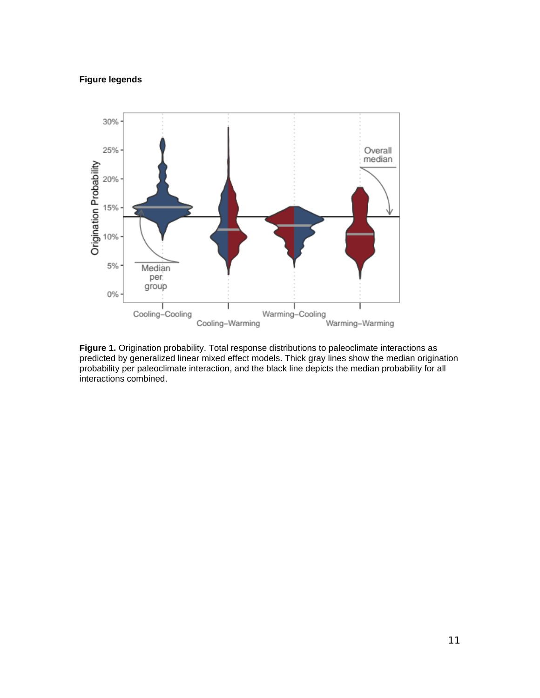### **Figure legends**



**Figure 1.** Origination probability. Total response distributions to paleoclimate interactions as predicted by generalized linear mixed effect models. Thick gray lines show the median origination probability per paleoclimate interaction, and the black line depicts the median probability for all interactions combined.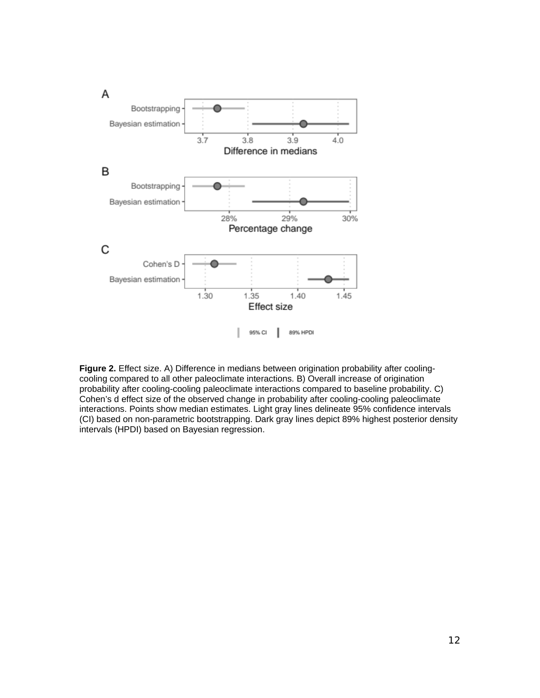

**Figure 2.** Effect size. A) Difference in medians between origination probability after coolingcooling compared to all other paleoclimate interactions. B) Overall increase of origination probability after cooling-cooling paleoclimate interactions compared to baseline probability. C) Cohen's d effect size of the observed change in probability after cooling-cooling paleoclimate interactions. Points show median estimates. Light gray lines delineate 95% confidence intervals (CI) based on non-parametric bootstrapping. Dark gray lines depict 89% highest posterior density intervals (HPDI) based on Bayesian regression.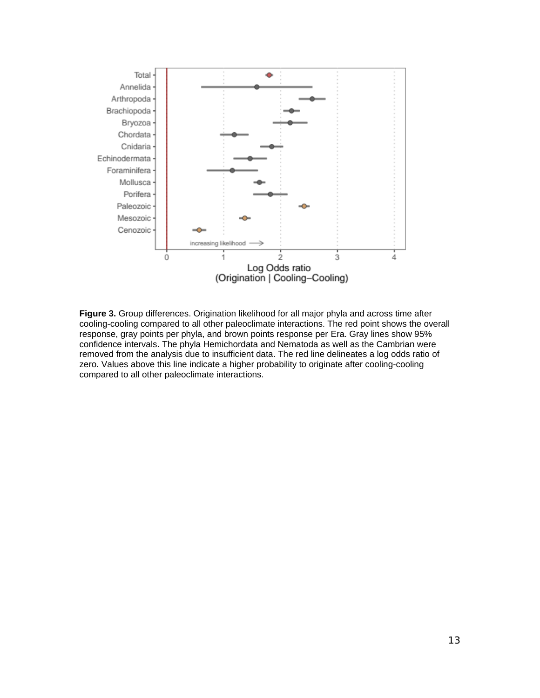

**Figure 3.** Group differences. Origination likelihood for all major phyla and across time after cooling-cooling compared to all other paleoclimate interactions. The red point shows the overall response, gray points per phyla, and brown points response per Era. Gray lines show 95% confidence intervals. The phyla Hemichordata and Nematoda as well as the Cambrian were removed from the analysis due to insufficient data. The red line delineates a log odds ratio of zero. Values above this line indicate a higher probability to originate after cooling-cooling compared to all other paleoclimate interactions.